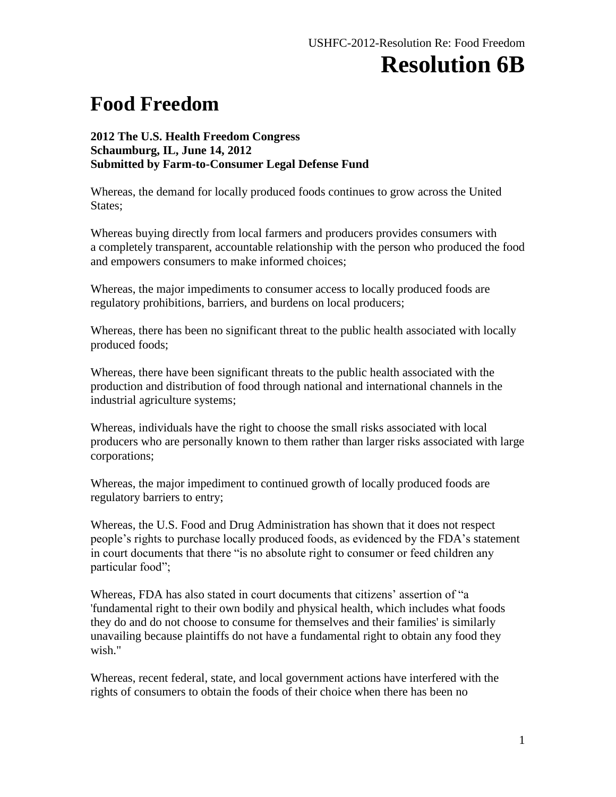## **Resolution 6B**

## **Food Freedom**

## **2012 The U.S. Health Freedom Congress Schaumburg, IL, June 14, 2012 Submitted by Farm-to-Consumer Legal Defense Fund**

Whereas, the demand for locally produced foods continues to grow across the United States;

Whereas buying directly from local farmers and producers provides consumers with a completely transparent, accountable relationship with the person who produced the food and empowers consumers to make informed choices;

Whereas, the major impediments to consumer access to locally produced foods are regulatory prohibitions, barriers, and burdens on local producers;

Whereas, there has been no significant threat to the public health associated with locally produced foods;

Whereas, there have been significant threats to the public health associated with the production and distribution of food through national and international channels in the industrial agriculture systems;

Whereas, individuals have the right to choose the small risks associated with local producers who are personally known to them rather than larger risks associated with large corporations;

Whereas, the major impediment to continued growth of locally produced foods are regulatory barriers to entry;

Whereas, the U.S. Food and Drug Administration has shown that it does not respect people's rights to purchase locally produced foods, as evidenced by the FDA's statement in court documents that there "is no absolute right to consumer or feed children any particular food";

Whereas, FDA has also stated in court documents that citizens' assertion of "a 'fundamental right to their own bodily and physical health, which includes what foods they do and do not choose to consume for themselves and their families' is similarly unavailing because plaintiffs do not have a fundamental right to obtain any food they wish."

Whereas, recent federal, state, and local government actions have interfered with the rights of consumers to obtain the foods of their choice when there has been no